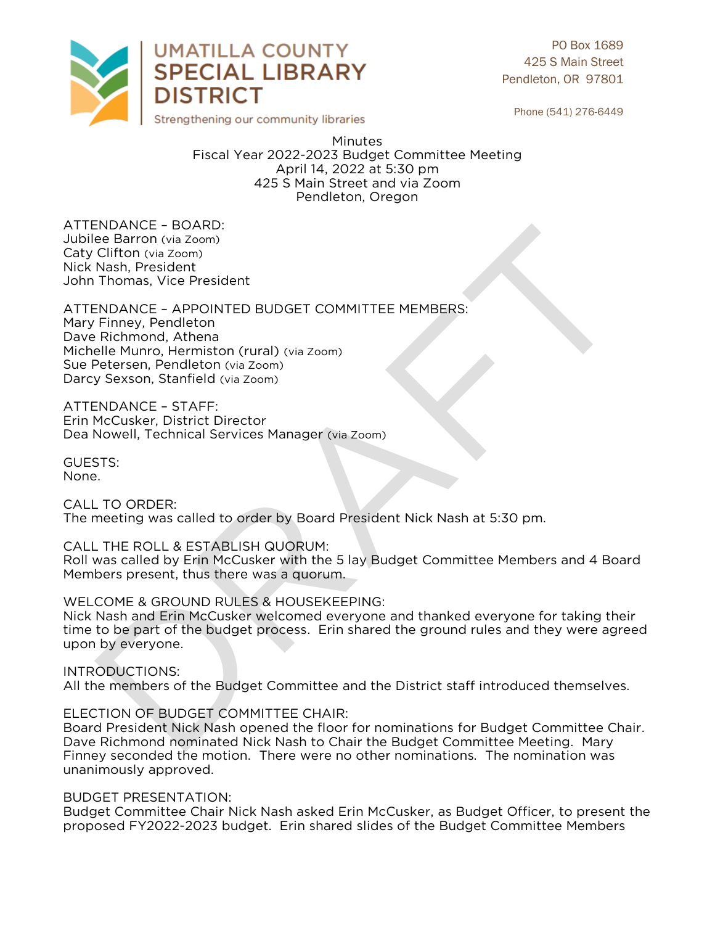

PO Box 1689 425 S Main Street Pendleton, OR 97801

Phone (541) 276-6449

**Minutes** Fiscal Year 2022-2023 Budget Committee Meeting April 14, 2022 at 5:30 pm 425 S Main Street and via Zoom Pendleton, Oregon Pendleton, Oregon

ATTENDANCE - BOARD:<br>Jubilee Barron (via Zoom) Caty Clifton (via Zoom) Nick Nash, President John Thomas, Vice President John Thomas, Vice President

ATTENDANCE - APPOINTED BUDGET COMMITTEE MEMBERS:<br>Mary Finney, Pendleton Dave Richmond, Athena Michelle Munro, Hermiston (rural) (via Zoom) Sue Petersen, Pendleton (via Zoom) Darcy Sexson, Stanfield (via Zoom)  $\mathcal{L}$  , Stanfield (via  $\mathcal{L}$ )

ATTENDANCE - STAFF:<br>Erin McCusker, District Director Dea Nowell, Technical Services Manager (via Zoom) Dea Nowell, Technical Services Manager (via Zoom)

GUESTS: None. None.

CALL TO ORDER: The meeting was The meeting was called to order by Board President Nick Nash at 5:30 pm.

CALL THE ROLL & ESTABLISH QUORUM:

Roll was called by Erin McCusker with the 5 lay Budget Committee Members and 4 Board Members present, thus there was a quorum. Members present, thus there was a quorum.

WELCOME & GROUND RULES & HOUSEKEEPING:<br>Nick Nash and Erin McCusker welcomed everyone and thanked everyone for taking their time to be part of the budget process. Erin shared the ground rules and they were agreed upon by everyone. upon by everyone.

INTRODUCTIONS:<br>All the members of the Budget Committee and the District staff introduced themselves. All the members of the Budget Committee and the District staff introduced themselves.

ELECTION OF BUDGET COMMITTEE CHAIR:

Board President Nick Nash opened the floor for nominations for Budget Committee Chair. Dave Richmond nominated Nick Nash to Chair the Budget Committee Meeting. Mary Finney seconded the motion. There were no other nominations. The nomination was unanimously approved. unanimously approved.

BUDGET PRESENTATION:<br>Budget Committee Chair Nick Nash asked Erin McCusker, as Budget Officer, to present the proposed FY2022-2023 budget. Erin shared slides of the Budget Committee Members proposed FY2022-2023 budget. Erin shared shared slides of the Budget Committee Members of the Budget Committee